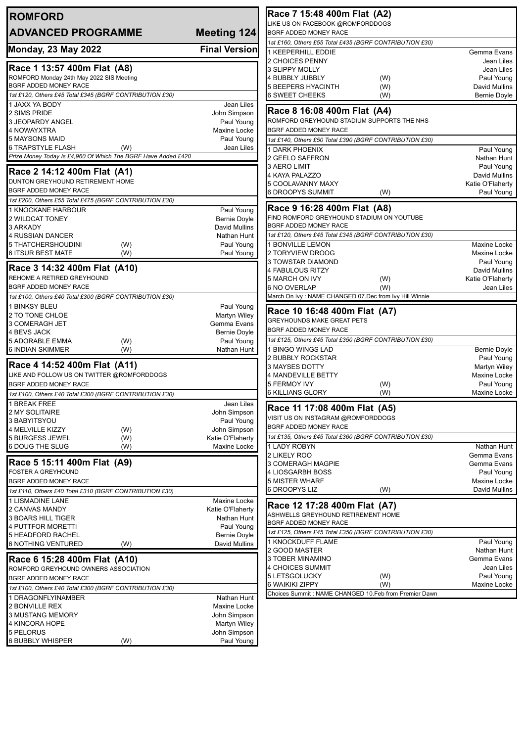| <b>ROMFORD</b>                                                            |                             | Race 7 15:48 400m Flat (A2)                                                        |                                     |  |
|---------------------------------------------------------------------------|-----------------------------|------------------------------------------------------------------------------------|-------------------------------------|--|
| <b>ADVANCED PROGRAMME</b>                                                 | Meeting 124                 | LIKE US ON FACEBOOK @ROMFORDDOGS<br>BGRF ADDED MONEY RACE                          |                                     |  |
|                                                                           |                             | 1st £160, Others £55 Total £435 (BGRF CONTRIBUTION £30)                            |                                     |  |
| <b>Monday, 23 May 2022</b>                                                | <b>Final Version</b>        | <b>1 KEEPERHILL EDDIE</b>                                                          | Gemma Evans                         |  |
|                                                                           |                             | 2 CHOICES PENNY                                                                    | Jean Liles                          |  |
| Race 1 13:57 400m Flat (A8)                                               |                             | 3 SLIPPY MOLLY                                                                     | Jean Liles                          |  |
| ROMFORD Monday 24th May 2022 SIS Meeting                                  |                             | 4 BUBBLY JUBBLY<br>(W)                                                             | Paul Young                          |  |
| BGRF ADDED MONEY RACE                                                     |                             | <b>5 BEEPERS HYACINTH</b><br>(W)                                                   | David Mullins                       |  |
| 1st £120, Others £45 Total £345 (BGRF CONTRIBUTION £30)<br>1 JAXX YA BODY | Jean Liles                  | <b>6 SWEET CHEEKS</b><br>(W)                                                       | <b>Bernie Doyle</b>                 |  |
| 2 SIMS PRIDE                                                              | John Simpson                | Race 8 16:08 400m Flat (A4)                                                        |                                     |  |
| 3 JEOPARDY ANGEL                                                          | Paul Young                  | ROMFORD GREYHOUND STADIUM SUPPORTS THE NHS                                         |                                     |  |
| 4 NOWAYXTRA                                                               | Maxine Locke                | BGRF ADDED MONEY RACE                                                              |                                     |  |
| 5 MAYSONS MAID                                                            | Paul Young                  | 1st £140, Others £50 Total £390 (BGRF CONTRIBUTION £30)                            |                                     |  |
| 6 TRAPSTYLE FLASH<br>(W)                                                  | Jean Liles                  | 1 DARK PHOENIX                                                                     | Paul Young                          |  |
| Prize Money Today Is £4,960 Of Which The BGRF Have Added £420             |                             | 2 GEELO SAFFRON                                                                    | Nathan Hunt                         |  |
| Race 2 14:12 400m Flat (A1)                                               |                             | 3 AERO LIMIT                                                                       | Paul Young                          |  |
| DUNTON GREYHOUND RETIREMENT HOME                                          |                             | 4 KAYA PALAZZO<br>5 COOLAVANNY MAXY                                                | David Mullins<br>Katie O'Flaherty   |  |
| BGRF ADDED MONEY RACE                                                     |                             | 6 DROOPYS SUMMIT<br>(W)                                                            | Paul Young                          |  |
| 1st £200, Others £55 Total £475 (BGRF CONTRIBUTION £30)                   |                             |                                                                                    |                                     |  |
| 1 KNOCKANE HARBOUR                                                        | Paul Young                  | Race 9 16:28 400m Flat (A8)                                                        |                                     |  |
| <b>2 WILDCAT TONEY</b>                                                    | <b>Bernie Doyle</b>         | FIND ROMFORD GREYHOUND STADIUM ON YOUTUBE                                          |                                     |  |
| 3 ARKADY                                                                  | David Mullins               | <b>BGRF ADDED MONEY RACE</b>                                                       |                                     |  |
| 4 RUSSIAN DANCER<br>5 THATCHERSHOUDINI                                    | Nathan Hunt<br>Paul Young   | 1st £120, Others £45 Total £345 (BGRF CONTRIBUTION £30)<br><b>1 BONVILLE LEMON</b> | Maxine Locke                        |  |
| (W)<br>6 ITSUR BEST MATE<br>(W)                                           | Paul Young                  | 2 TORYVIEW DROOG                                                                   | Maxine Locke                        |  |
|                                                                           |                             | <b>3 TOWSTAR DIAMOND</b>                                                           | Paul Young                          |  |
| Race 3 14:32 400m Flat (A10)                                              |                             | 4 FABULOUS RITZY                                                                   | David Mullins                       |  |
| REHOME A RETIRED GREYHOUND                                                |                             | 5 MARCH ON IVY<br>(W)                                                              | Katie O'Flaherty                    |  |
| BGRF ADDED MONEY RACE                                                     |                             | 6 NO OVERLAP<br>(W)                                                                | Jean Liles                          |  |
| 1st £100, Others £40 Total £300 (BGRF CONTRIBUTION £30)                   |                             | March On Ivy : NAME CHANGED 07.Dec from Ivy Hill Winnie                            |                                     |  |
| 1 BINKSY BLEU                                                             | Paul Young                  | Race 10 16:48 400m Flat (A7)                                                       |                                     |  |
| 2 TO TONE CHLOE<br>3 COMERAGH JET                                         | Martyn Wiley<br>Gemma Evans | <b>GREYHOUNDS MAKE GREAT PETS</b>                                                  |                                     |  |
| 4 BEVS JACK                                                               | <b>Bernie Doyle</b>         | BGRF ADDED MONEY RACE                                                              |                                     |  |
| <b>5 ADORABLE EMMA</b><br>(W)                                             | Paul Young                  | 1st £125, Others £45 Total £350 (BGRF CONTRIBUTION £30)                            |                                     |  |
| <b>6 INDIAN SKIMMER</b><br>(W)                                            | Nathan Hunt                 | 1 BINGO WINGS LAD                                                                  | <b>Bernie Doyle</b>                 |  |
| Race 4 14:52 400m Flat (A11)                                              |                             | 2 BUBBLY ROCKSTAR                                                                  | Paul Young                          |  |
| LIKE AND FOLLOW US ON TWITTER @ROMFORDDOGS                                |                             | 3 MAYSES DOTTY<br><b>4 MANDEVILLE BETTY</b>                                        | Martyn Wiley<br><b>Maxine Locke</b> |  |
| BGRF ADDED MONEY RACE                                                     |                             | <b>5 FERMOY IVY</b><br>(W)                                                         | Paul Young                          |  |
| 1st £100, Others £40 Total £300 (BGRF CONTRIBUTION £30)                   |                             | (W)<br><b>6 KILLIANS GLORY</b>                                                     | Maxine Locke                        |  |
| 1 BREAK FREE                                                              | Jean Liles                  |                                                                                    |                                     |  |
| 2 MY SOLITAIRE                                                            | John Simpson                | Race 11 17:08 400m Flat (A5)                                                       |                                     |  |
| 3 BABYITSYOU                                                              | Paul Young                  | VISIT US ON INSTAGRAM @ROMFORDDOGS                                                 |                                     |  |
| 4 MELVILLE KIZZY<br>(W)                                                   | John Simpson                | BGRF ADDED MONEY RACE                                                              |                                     |  |
| 5 BURGESS JEWEL<br>(W)                                                    | Katie O'Flaherty            | 1st £135, Others £45 Total £360 (BGRF CONTRIBUTION £30)                            |                                     |  |
| 6 DOUG THE SLUG<br>(W)                                                    | Maxine Locke                | 1 LADY ROBYN<br>2 LIKELY ROO                                                       | Nathan Hunt<br>Gemma Evans          |  |
| Race 5 15:11 400m Flat (A9)                                               |                             | 3 COMERAGH MAGPIE                                                                  | Gemma Evans                         |  |
| FOSTER A GREYHOUND                                                        |                             | <b>4 LIOSGARBH BOSS</b>                                                            | Paul Young                          |  |
| BGRF ADDED MONEY RACE                                                     |                             | <b>5 MISTER WHARF</b>                                                              | Maxine Locke                        |  |
| 1st £110, Others £40 Total £310 (BGRF CONTRIBUTION £30)                   |                             | 6 DROOPYS LIZ<br>(W)                                                               | David Mullins                       |  |
| 1 LISMADINE LANE                                                          | Maxine Locke                | Race 12 17:28 400m Flat (A7)                                                       |                                     |  |
| <b>2 CANVAS MANDY</b>                                                     | Katie O'Flaherty            | ASHWELLS GREYHOUND RETIREMENT HOME                                                 |                                     |  |
| 3 BOARS HILL TIGER<br>4 PUTTFOR MORETTI                                   | Nathan Hunt<br>Paul Young   | BGRF ADDED MONEY RACE                                                              |                                     |  |
| 5 HEADFORD RACHEL                                                         | <b>Bernie Doyle</b>         | 1st £125, Others £45 Total £350 (BGRF CONTRIBUTION £30)                            |                                     |  |
| <b>6 NOTHING VENTURED</b><br>(W)                                          | David Mullins               | I KNOCKDUFF FLAME                                                                  | Paul Young                          |  |
|                                                                           |                             | 2 GOOD MASTER                                                                      | Nathan Hunt                         |  |
| Race 6 15:28 400m Flat (A10)                                              |                             | 3 TOBER MINAMINO                                                                   | Gemma Evans                         |  |
| ROMFORD GREYHOUND OWNERS ASSOCIATION                                      |                             | 4 CHOICES SUMMIT<br>5 LETSGOLUCKY<br>(W)                                           | Jean Liles<br>Paul Young            |  |
| BGRF ADDED MONEY RACE                                                     |                             | 6 WAIKIKI ZIPPY<br>(W)                                                             | Maxine Locke                        |  |
| 1st £100, Others £40 Total £300 (BGRF CONTRIBUTION £30)                   |                             | Choices Summit : NAME CHANGED 10.Feb from Premier Dawn                             |                                     |  |
| 1 DRAGONFLYINAMBER<br>2 BONVILLE REX                                      | Nathan Hunt<br>Maxine Locke |                                                                                    |                                     |  |
| 3 MUSTANG MEMORY                                                          | John Simpson                |                                                                                    |                                     |  |
| 4 KINCORA HOPE                                                            | Martyn Wiley                |                                                                                    |                                     |  |
| 5 PELORUS                                                                 | John Simpson                |                                                                                    |                                     |  |
| <b>6 BUBBLY WHISPER</b><br>(W)                                            | Paul Young                  |                                                                                    |                                     |  |
|                                                                           |                             |                                                                                    |                                     |  |